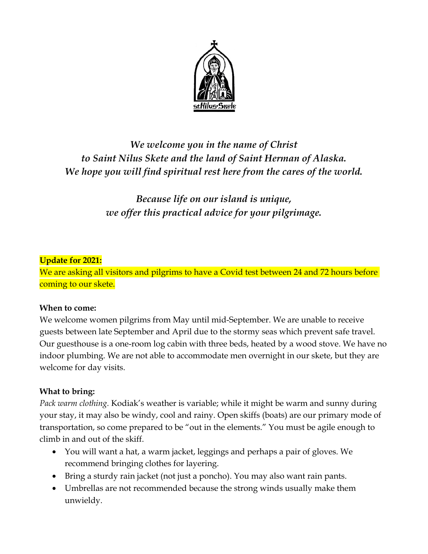

# *We welcome you in the name of Christ to Saint Nilus Skete and the land of Saint Herman of Alaska. We hope you will find spiritual rest here from the cares of the world.*

*Because life on our island is unique, we offer this practical advice for your pilgrimage.* 

# **Update for 2021:**

We are asking all visitors and pilgrims to have a Covid test between 24 and 72 hours before coming to our skete.

## **When to come:**

We welcome women pilgrims from May until mid-September. We are unable to receive guests between late September and April due to the stormy seas which prevent safe travel. Our guesthouse is a one-room log cabin with three beds, heated by a wood stove. We have no indoor plumbing. We are not able to accommodate men overnight in our skete, but they are welcome for day visits.

# **What to bring:**

*Pack warm clothing.* Kodiak's weather is variable; while it might be warm and sunny during your stay, it may also be windy, cool and rainy. Open skiffs (boats) are our primary mode of transportation, so come prepared to be "out in the elements." You must be agile enough to climb in and out of the skiff.

- You will want a hat, a warm jacket, leggings and perhaps a pair of gloves. We recommend bringing clothes for layering.
- Bring a sturdy rain jacket (not just a poncho). You may also want rain pants.
- Umbrellas are not recommended because the strong winds usually make them unwieldy.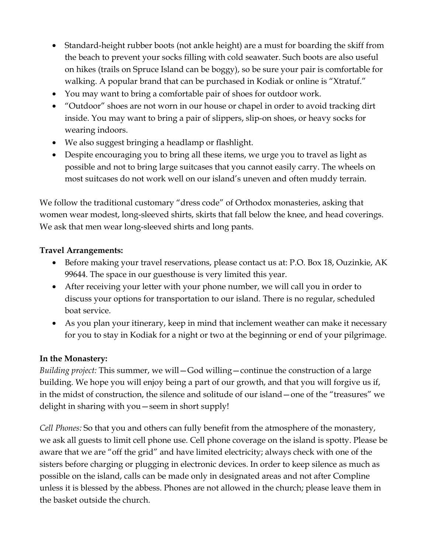- Standard-height rubber boots (not ankle height) are a must for boarding the skiff from the beach to prevent your socks filling with cold seawater. Such boots are also useful on hikes (trails on Spruce Island can be boggy), so be sure your pair is comfortable for walking. A popular brand that can be purchased in Kodiak or online is "Xtratuf."
- You may want to bring a comfortable pair of shoes for outdoor work.
- "Outdoor" shoes are not worn in our house or chapel in order to avoid tracking dirt inside. You may want to bring a pair of slippers, slip-on shoes, or heavy socks for wearing indoors.
- We also suggest bringing a headlamp or flashlight.
- Despite encouraging you to bring all these items, we urge you to travel as light as possible and not to bring large suitcases that you cannot easily carry. The wheels on most suitcases do not work well on our island's uneven and often muddy terrain.

We follow the traditional customary "dress code" of Orthodox monasteries, asking that women wear modest, long-sleeved shirts, skirts that fall below the knee, and head coverings. We ask that men wear long-sleeved shirts and long pants.

## **Travel Arrangements:**

- Before making your travel reservations, please contact us at: P.O. Box 18, Ouzinkie, AK 99644. The space in our guesthouse is very limited this year.
- After receiving your letter with your phone number, we will call you in order to discuss your options for transportation to our island. There is no regular, scheduled boat service.
- As you plan your itinerary, keep in mind that inclement weather can make it necessary for you to stay in Kodiak for a night or two at the beginning or end of your pilgrimage.

## **In the Monastery:**

*Building project:* This summer, we will—God willing—continue the construction of a large building. We hope you will enjoy being a part of our growth, and that you will forgive us if, in the midst of construction, the silence and solitude of our island—one of the "treasures" we delight in sharing with you—seem in short supply!

*Cell Phones:* So that you and others can fully benefit from the atmosphere of the monastery, we ask all guests to limit cell phone use. Cell phone coverage on the island is spotty. Please be aware that we are "off the grid" and have limited electricity; always check with one of the sisters before charging or plugging in electronic devices. In order to keep silence as much as possible on the island, calls can be made only in designated areas and not after Compline unless it is blessed by the abbess. Phones are not allowed in the church; please leave them in the basket outside the church.